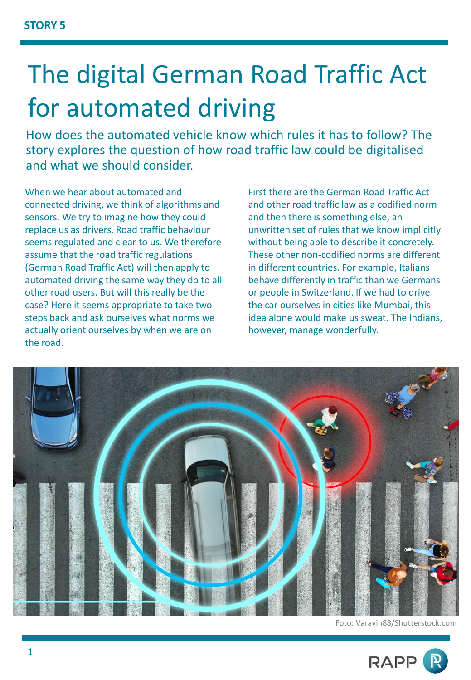## The digital German Road Traffic Act for automated driving

How does the automated vehicle know which rules it has to follow? The story explores the question of how road traffic law could be digitalised and what we should consider.

When we hear about automated and connected driving, we think of algorithms and sensors. We try to imagine how they could replace us as drivers. Road traffic behaviour seems regulated and clear to us. We therefore assume that the road traffic regulations (German Road Traffic Act) will then apply to automated driving the same way they do to all other road users. But will this really be the case? Here it seems appropriate to take two steps back and ask ourselves what norms we actually orient ourselves by when we are on the road.

First there are the German Road Traffic Act and other road traffic law as a codified norm and then there is something else, an unwritten set of rules that we know implicitly without being able to describe it concretely. These other non-codified norms are different in different countries. For example, Italians behave differently in traffic than we Germans or people in Switzerland. If we had to drive the car ourselves in cities like Mumbai, this idea alone would make us sweat. The Indians, however, manage wonderfully.



Foto: Varavin88/Shutterstock.com